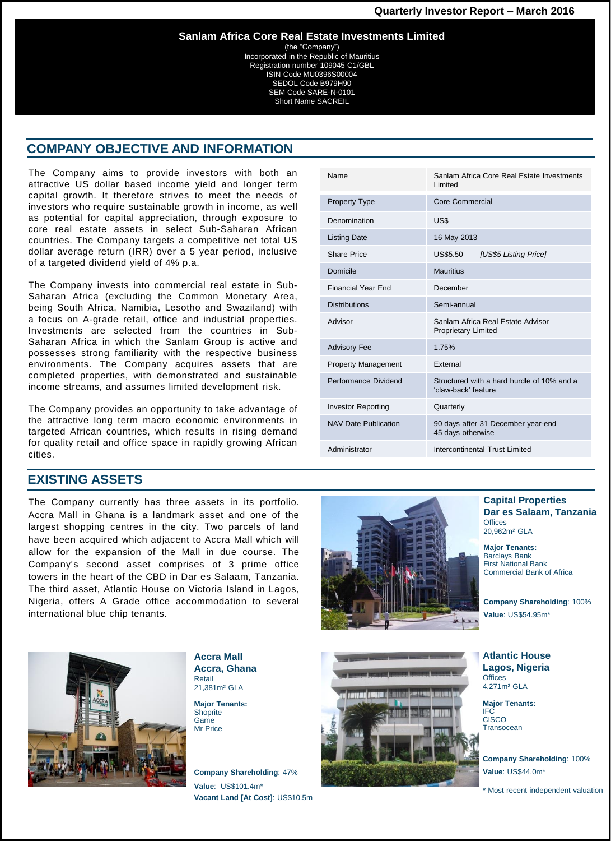(the "Company") Incorporated in the Republic of Mauritius Registration number 109045 C1/GBL ISIN Code MU0396S00004 SEDOL Code B979H90 SEM Code SARE-N-0101 Short Name SACREIL

### **COMPANY OBJECTIVE AND INFORMATION**

The Company aims to provide investors with both an attractive US dollar based income yield and longer term capital growth. It therefore strives to meet the needs of investors who require sustainable growth in income, as well as potential for capital appreciation, through exposure to core real estate assets in select Sub-Saharan African countries. The Company targets a competitive net total US dollar average return (IRR) over a 5 year period, inclusive of a targeted dividend yield of 4% p.a.

The Company invests into commercial real estate in Sub-Saharan Africa (excluding the Common Monetary Area, being South Africa, Namibia, Lesotho and Swaziland) with a focus on A-grade retail, office and industrial properties. Investments are selected from the countries in Sub-Saharan Africa in which the Sanlam Group is active and possesses strong familiarity with the respective business environments. The Company acquires assets that are completed properties, with demonstrated and sustainable income streams, and assumes limited development risk.

The Company provides an opportunity to take advantage of the attractive long term macro economic environments in targeted African countries, which results in rising demand for quality retail and office space in rapidly growing African cities.

## **EXISTING ASSETS**

The Company currently has three assets in its portfolio. Accra Mall in Ghana is a landmark asset and one of the largest shopping centres in the city. Two parcels of land have been acquired which adjacent to Accra Mall which will allow for the expansion of the Mall in due course. The Company's second asset comprises of 3 prime office towers in the heart of the CBD in Dar es Salaam, Tanzania. The third asset, Atlantic House on Victoria Island in Lagos, Nigeria, offers A Grade office accommodation to several international blue chip tenants.





**Accra Mall Accra, Ghana**  Retail 21,381m² GLA

**Major Tenants: Shoprite** Game Mr Price

**Company Shareholding**: 47% **Value**: US\$101.4m\* **Vacant Land [At Cost]**: US\$10.5m



**Capital Properties Dar es Salaam, Tanzania Offices** 20,962m² GLA

**Major Tenants:**  Barclays Bank First National Bank Commercial Bank of Africa

**Company Shareholding**: 100% **Value**: US\$54.95m\*

**Atlantic House Lagos, Nigeria Offices** 4,271m² GLA

**Major Tenants:**  IFC CISCO **Transocean** 

**Company Shareholding**: 100% **Value**: US\$44.0m\*

\* Most recent independent valuation

| Financial Year End          | December                                                          |
|-----------------------------|-------------------------------------------------------------------|
| <b>Distributions</b>        | Semi-annual                                                       |
| Advisor                     | Sanlam Africa Real Estate Advisor<br><b>Proprietary Limited</b>   |
| <b>Advisory Fee</b>         | 1.75%                                                             |
| <b>Property Management</b>  | External                                                          |
| Performance Dividend        | Structured with a hard hurdle of 10% and a<br>'claw-back' feature |
| <b>Investor Reporting</b>   | Quarterly                                                         |
| <b>NAV Date Publication</b> | 90 days after 31 December year-end<br>45 days otherwise           |
| Administrator               | Intercontinental Trust Limited                                    |
|                             |                                                                   |

Name Sanlam Africa Core Real Estate Investments Limited

Share Price US\$5.50 *[US\$5 Listing Price]*

Property Type Core Commercial

Listing Date 16 May 2013

Domicile Mauritius

Denomination US\$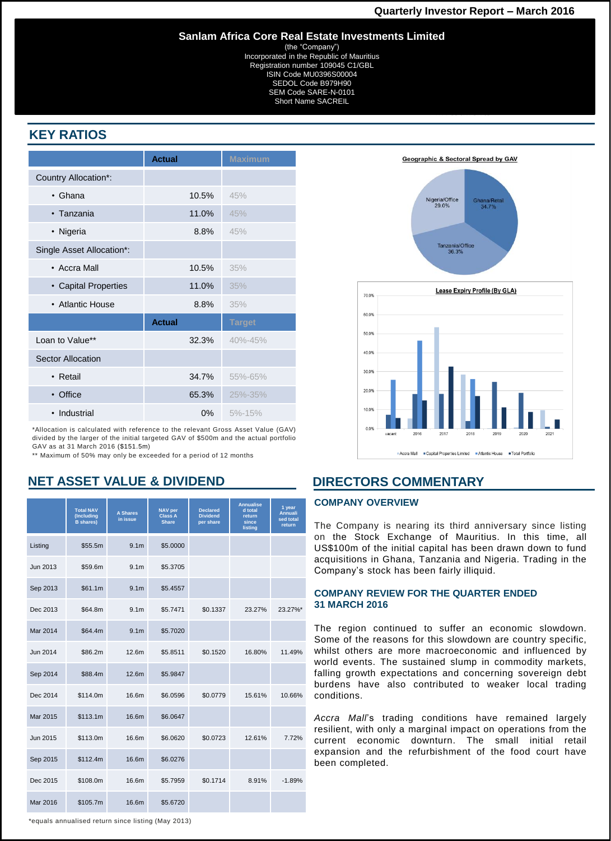(the "Company") Incorporated in the Republic of Mauritius Registration number 109045 C1/GBL ISIN Code MU0396S00004 SEDOL Code B979H90 SEM Code SARE-N-0101 Short Name SACREIL

# **KEY RATIOS**

|                           | <b>Actual</b> | <b>Maximum</b> |
|---------------------------|---------------|----------------|
| Country Allocation*:      |               |                |
| $\cdot$ Ghana             | 10.5%         | 45%            |
| • Tanzania                | 11.0%         | 45%            |
| • Nigeria                 | 8.8%          | 45%            |
| Single Asset Allocation*: |               |                |
| • Accra Mall              | 10.5%         | 35%            |
| • Capital Properties      | 11.0%         | 35%            |
| • Atlantic House          | 8.8%          | 35%            |
|                           | <b>Actual</b> | <b>Target</b>  |
| Loan to Value**           | 32.3%         | $40\% - 45\%$  |
| <b>Sector Allocation</b>  |               |                |
| • Retail                  | 34.7%         | 55%-65%        |
| • Office                  | 65.3%         | 25%-35%        |
| • Industrial              | $0\%$         | $5% - 15%$     |

\*Allocation is calculated with reference to the relevant Gross Asset Value (GAV) divided by the larger of the initial targeted GAV of \$500m and the actual portfolio GAV as at 31 March 2016 (\$151.5m)

\*\* Maximum of 50% may only be exceeded for a period of 12 months

## **NET ASSET VALUE & DIVIDEND**

|          | <b>Total NAV</b><br>(Including<br><b>B</b> shares) | <b>A Shares</b><br>in issue | <b>NAV per</b><br><b>Class A</b><br><b>Share</b> | <b>Declared</b><br><b>Dividend</b><br>per share | <b>Annualise</b><br>d total<br>return<br>since<br>listing | 1 year<br><b>Annuali</b><br>sed total<br>return |
|----------|----------------------------------------------------|-----------------------------|--------------------------------------------------|-------------------------------------------------|-----------------------------------------------------------|-------------------------------------------------|
| Listing  | \$55.5m                                            | 9.1 <sub>m</sub>            | \$5.0000                                         |                                                 |                                                           |                                                 |
| Jun 2013 | \$59.6m                                            | 9.1 <sub>m</sub>            | \$5.3705                                         |                                                 |                                                           |                                                 |
| Sep 2013 | \$61.1m                                            | 9.1 <sub>m</sub>            | \$5.4557                                         |                                                 |                                                           |                                                 |
| Dec 2013 | \$64.8m                                            | 9.1 <sub>m</sub>            | \$5.7471                                         | \$0.1337                                        | 23.27%                                                    | 23.27%*                                         |
| Mar 2014 | \$64.4m                                            | 9.1 <sub>m</sub>            | \$5.7020                                         |                                                 |                                                           |                                                 |
| Jun 2014 | \$86.2m                                            | 12.6m                       | \$5.8511                                         | \$0.1520                                        | 16.80%                                                    | 11.49%                                          |
| Sep 2014 | \$88.4m                                            | 12.6m                       | \$5.9847                                         |                                                 |                                                           |                                                 |
| Dec 2014 | \$114.0m                                           | 16.6m                       | \$6.0596                                         | \$0.0779                                        | 15.61%                                                    | 10.66%                                          |
| Mar 2015 | \$113.1m                                           | 16.6m                       | \$6.0647                                         |                                                 |                                                           |                                                 |
| Jun 2015 | \$113.0m                                           | 16.6m                       | \$6.0620                                         | \$0.0723                                        | 12.61%                                                    | 7.72%                                           |
| Sep 2015 | \$112.4m                                           | 16.6m                       | \$6.0276                                         |                                                 |                                                           |                                                 |
| Dec 2015 | \$108.0m                                           | 16.6m                       | \$5.7959                                         | \$0.1714                                        | 8.91%                                                     | $-1.89%$                                        |
| Mar 2016 | \$105.7m                                           | 16.6m                       | \$5.6720                                         |                                                 |                                                           |                                                 |





## **DIRECTORS COMMENTARY**

#### **COMPANY OVERVIEW**

The Company is nearing its third anniversary since listing on the Stock Exchange of Mauritius. In this time, all US\$100m of the initial capital has been drawn down to fund acquisitions in Ghana, Tanzania and Nigeria. Trading in the Company's stock has been fairly illiquid.

#### **COMPANY REVIEW FOR THE QUARTER ENDED 31 MARCH 2016**

The region continued to suffer an economic slowdown. Some of the reasons for this slowdown are country specific, whilst others are more macroeconomic and influenced by world events. The sustained slump in commodity markets, falling growth expectations and concerning sovereign debt burdens have also contributed to weaker local trading conditions.

*Accra Mall*'s trading conditions have remained largely resilient, with only a marginal impact on operations from the current economic downturn. The small initial retail expansion and the refurbishment of the food court have been completed.

\*equals annualised return since listing (May 2013)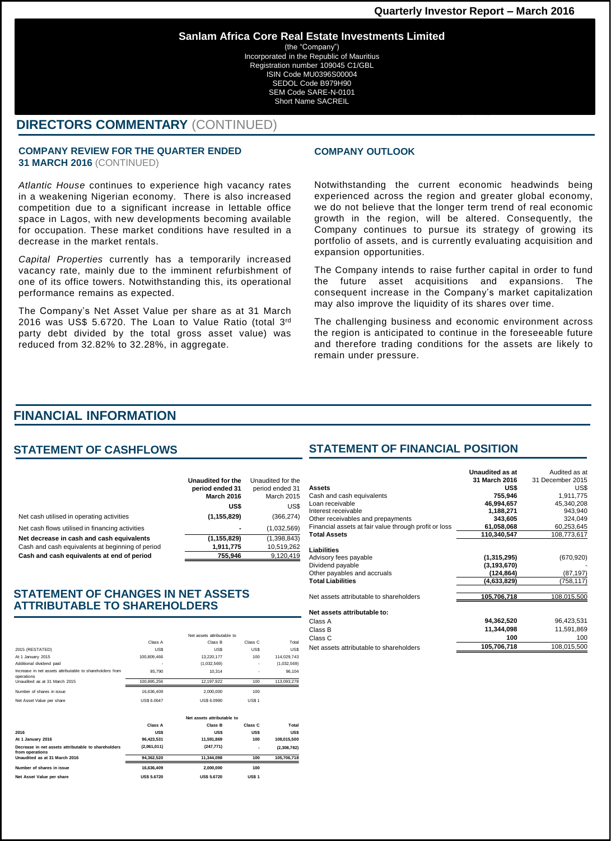(the "Company") Incorporated in the Republic of Mauritius Registration number 109045 C1/GBL ISIN Code MU0396S00004 SEDOL Code B979H90 SEM Code SARE-N-0101 Short Name SACREIL

## **DIRECTORS COMMENTARY** (CONTINUED)

#### **COMPANY REVIEW FOR THE QUARTER ENDED 31 MARCH 2016** (CONTINUED)

*Atlantic House* continues to experience high vacancy rates in a weakening Nigerian economy. There is also increased competition due to a significant increase in lettable office space in Lagos, with new developments becoming available for occupation. These market conditions have resulted in a decrease in the market rentals.

*Capital Properties* currently has a temporarily increased vacancy rate, mainly due to the imminent refurbishment of one of its office towers. Notwithstanding this, its operational performance remains as expected.

The Company's Net Asset Value per share as at 31 March 2016 was US\$ 5.6720. The Loan to Value Ratio (total 3rd party debt divided by the total gross asset value) was reduced from 32.82% to 32.28%, in aggregate.

#### **COMPANY OUTLOOK**

Notwithstanding the current economic headwinds being experienced across the region and greater global economy, we do not believe that the longer term trend of real economic growth in the region, will be altered. Consequently, the Company continues to pursue its strategy of growing its portfolio of assets, and is currently evaluating acquisition and expansion opportunities.

The Company intends to raise further capital in order to fund the future asset acquisitions and expansions. The consequent increase in the Company's market capitalization may also improve the liquidity of its shares over time.

The challenging business and economic environment across the region is anticipated to continue in the foreseeable future and therefore trading conditions for the assets are likely to remain under pressure.

## **FINANCIAL INFORMATION**

### **STATEMENT OF CASHFLOWS**

|                                                  | Unaudited for the<br>period ended 31<br><b>March 2016</b> | Unaudited for the<br>period ended 31<br><b>March 2015</b> |
|--------------------------------------------------|-----------------------------------------------------------|-----------------------------------------------------------|
|                                                  | US\$                                                      | US\$                                                      |
| Net cash utilised in operating activities        | (1, 155, 829)                                             | (366, 274)                                                |
| Net cash flows utilised in financing activities  | -                                                         | (1,032,569)                                               |
| Net decrease in cash and cash equivalents        | (1, 155, 829)                                             | (1,398,843)                                               |
| Cash and cash equivalents at beginning of period | 1.911.775                                                 | 10.519.262                                                |
| Cash and cash equivalents at end of period       | 755.946                                                   | 9.120.419                                                 |

### **STATEMENT OF CHANGES IN NET ASSETS ATTRIBUTABLE TO SHAREHOLDERS**

|                                                                        |                    | Net assets attributable to |              |             |
|------------------------------------------------------------------------|--------------------|----------------------------|--------------|-------------|
|                                                                        | Class A            | Class B                    | Class C      | Total       |
| 2015 (RESTATED)                                                        | <b>USS</b>         | US\$                       | <b>USS</b>   | US\$        |
| At 1 January 2015                                                      | 100.809.466        | 13.220.177                 | 100          | 114.029.743 |
| Additional dividend paid                                               | ٠                  | (1.032.569)                | ٠            | (1,032,569) |
| Increase in net assets attributable to shareholders from<br>operations | 85,790             | 10.314                     | ٠            | 96.104      |
| Unaudited as at 31 March 2015                                          | 100,895,256        | 12,197,922                 | 100          | 113,093,278 |
| Number of shares in issue                                              | 16,636,409         | 2,000,000                  | 100          |             |
| Net Asset Value per share                                              | <b>US\$ 6,0647</b> | <b>US\$ 6,0990</b>         | US\$1        |             |
|                                                                        |                    |                            |              |             |
|                                                                        |                    | Net assets attributable to |              |             |
|                                                                        | Class A            | Class B                    | Class C      | Total       |
| 2016                                                                   | <b>USS</b>         | US\$                       | <b>USS</b>   | US\$        |
| At 1 January 2016                                                      | 96.423.531         | 11.591.869                 | 100          | 108.015.500 |
| Decrease in net assets attributable to shareholders<br>from operations | (2,061,011)        | (247, 771)                 | ٠            | (2,308,782) |
| Unaudited as at 31 March 2016                                          | 94,362,520         | 11,344,098                 | 100          | 105,706,718 |
| Number of shares in issue                                              | 16,636,409         | 2,000,000                  | 100          |             |
| Net Asset Value per share                                              | <b>US\$ 5,6720</b> | <b>US\$ 5,6720</b>         | <b>US\$1</b> |             |

### **STATEMENT OF FINANCIAL POSITION**

|                                                                                                                     | Unaudited as at                                          | Audited as at                        |
|---------------------------------------------------------------------------------------------------------------------|----------------------------------------------------------|--------------------------------------|
|                                                                                                                     | 31 March 2016                                            | 31 December 2015                     |
| Assets                                                                                                              | US\$                                                     | US\$                                 |
| Cash and cash equivalents                                                                                           | 755,946                                                  | 1,911,775                            |
| Loan receivable                                                                                                     | 46,994,657                                               | 45,340,208                           |
| Interest receivable                                                                                                 | 1,188,271                                                | 943,940                              |
| Other receivables and prepayments                                                                                   | 343,605                                                  | 324,049                              |
| Financial assets at fair value through profit or loss                                                               | 61,058,068                                               | 60,253,645                           |
| <b>Total Assets</b>                                                                                                 | 110.340.547                                              | 108,773,617                          |
| Liabilities<br>Advisory fees payable<br>Dividend payable<br>Other payables and accruals<br><b>Total Liabilities</b> | (1,315,295)<br>(3, 193, 670)<br>(124,864)<br>(4,633,829) | (670, 920)<br>(87, 197)<br>(758,117) |
| Net assets attributable to shareholders                                                                             | 105,706,718                                              | 108,015,500                          |
| Net assets attributable to:<br>Class A                                                                              | 94,362,520                                               | 96,423,531                           |
| Class B                                                                                                             | 11,344,098                                               | 11,591,869                           |
| Class C                                                                                                             | 100                                                      | 100                                  |
| Net assets attributable to shareholders                                                                             | 105,706,718                                              | 108,015,500                          |